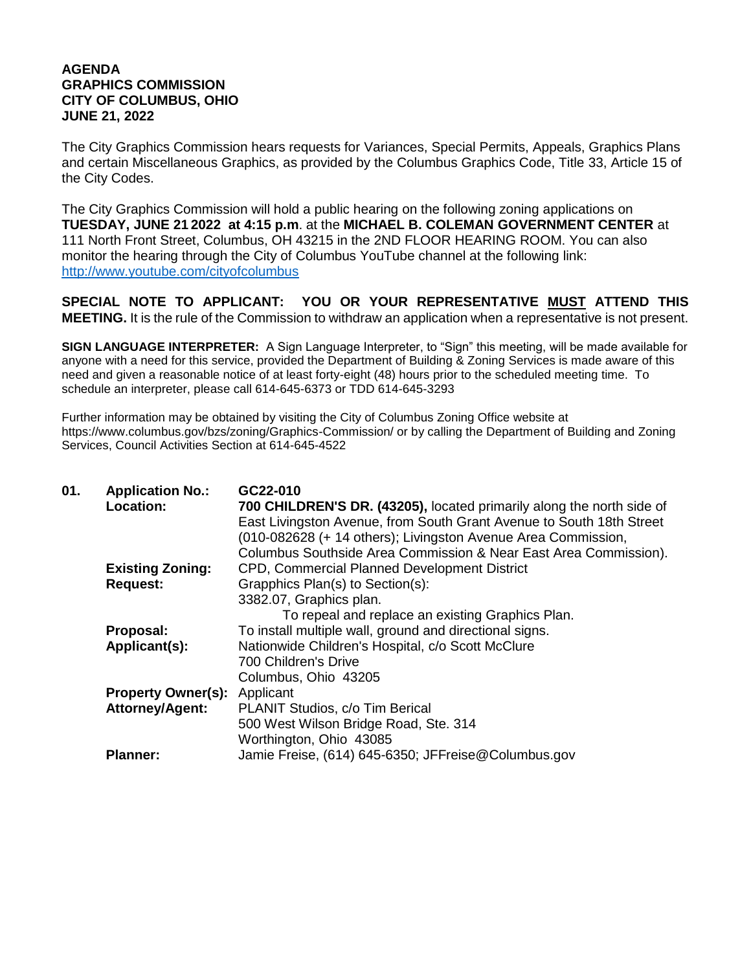## **AGENDA GRAPHICS COMMISSION CITY OF COLUMBUS, OHIO JUNE 21, 2022**

The City Graphics Commission hears requests for Variances, Special Permits, Appeals, Graphics Plans and certain Miscellaneous Graphics, as provided by the Columbus Graphics Code, Title 33, Article 15 of the City Codes.

The City Graphics Commission will hold a public hearing on the following zoning applications on **TUESDAY, JUNE 21 2022 at 4:15 p.m**. at the **MICHAEL B. COLEMAN GOVERNMENT CENTER** at 111 North Front Street, Columbus, OH 43215 in the 2ND FLOOR HEARING ROOM. You can also monitor the hearing through the City of Columbus YouTube channel at the following link: <http://www.youtube.com/cityofcolumbus>

**SPECIAL NOTE TO APPLICANT: YOU OR YOUR REPRESENTATIVE MUST ATTEND THIS MEETING.** It is the rule of the Commission to withdraw an application when a representative is not present.

**SIGN LANGUAGE INTERPRETER:** A Sign Language Interpreter, to "Sign" this meeting, will be made available for anyone with a need for this service, provided the Department of Building & Zoning Services is made aware of this need and given a reasonable notice of at least forty-eight (48) hours prior to the scheduled meeting time. To schedule an interpreter, please call 614-645-6373 or TDD 614-645-3293

Further information may be obtained by visiting the City of Columbus Zoning Office website at https://www.columbus.gov/bzs/zoning/Graphics-Commission/ or by calling the Department of Building and Zoning Services, Council Activities Section at 614-645-4522

| 01. | <b>Application No.:</b>   | GC22-010                                                              |
|-----|---------------------------|-----------------------------------------------------------------------|
|     | Location:                 | 700 CHILDREN'S DR. (43205), located primarily along the north side of |
|     |                           | East Livingston Avenue, from South Grant Avenue to South 18th Street  |
|     |                           | (010-082628 (+ 14 others); Livingston Avenue Area Commission,         |
|     |                           | Columbus Southside Area Commission & Near East Area Commission).      |
|     | <b>Existing Zoning:</b>   | CPD, Commercial Planned Development District                          |
|     | <b>Request:</b>           | Grapphics Plan(s) to Section(s):                                      |
|     |                           | 3382.07, Graphics plan.                                               |
|     |                           | To repeal and replace an existing Graphics Plan.                      |
|     | Proposal:                 | To install multiple wall, ground and directional signs.               |
|     | Applicant(s):             | Nationwide Children's Hospital, c/o Scott McClure                     |
|     |                           | 700 Children's Drive                                                  |
|     |                           | Columbus, Ohio 43205                                                  |
|     | <b>Property Owner(s):</b> | Applicant                                                             |
|     | <b>Attorney/Agent:</b>    | PLANIT Studios, c/o Tim Berical                                       |
|     |                           | 500 West Wilson Bridge Road, Ste. 314                                 |
|     |                           | Worthington, Ohio 43085                                               |
|     | <b>Planner:</b>           | Jamie Freise, (614) 645-6350; JFFreise@Columbus.gov                   |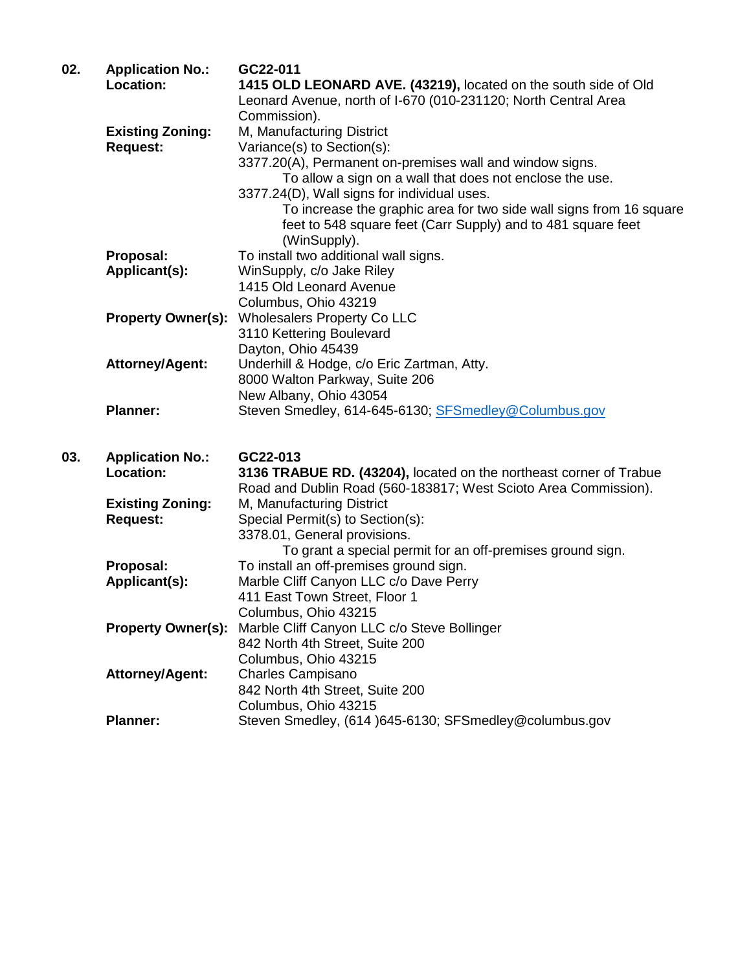| 02. | <b>Application No.:</b><br>Location:       | GC22-011<br>1415 OLD LEONARD AVE. (43219), located on the south side of Old<br>Leonard Avenue, north of I-670 (010-231120; North Central Area<br>Commission).                                                                                                                                                                                                                         |
|-----|--------------------------------------------|---------------------------------------------------------------------------------------------------------------------------------------------------------------------------------------------------------------------------------------------------------------------------------------------------------------------------------------------------------------------------------------|
|     | <b>Existing Zoning:</b><br><b>Request:</b> | M, Manufacturing District<br>Variance(s) to Section(s):<br>3377.20(A), Permanent on-premises wall and window signs.<br>To allow a sign on a wall that does not enclose the use.<br>3377.24(D), Wall signs for individual uses.<br>To increase the graphic area for two side wall signs from 16 square<br>feet to 548 square feet (Carr Supply) and to 481 square feet<br>(WinSupply). |
|     | Proposal:<br>Applicant(s):                 | To install two additional wall signs.<br>WinSupply, c/o Jake Riley<br>1415 Old Leonard Avenue<br>Columbus, Ohio 43219                                                                                                                                                                                                                                                                 |
|     | <b>Property Owner(s):</b>                  | <b>Wholesalers Property Co LLC</b><br>3110 Kettering Boulevard<br>Dayton, Ohio 45439                                                                                                                                                                                                                                                                                                  |
|     | <b>Attorney/Agent:</b>                     | Underhill & Hodge, c/o Eric Zartman, Atty.<br>8000 Walton Parkway, Suite 206<br>New Albany, Ohio 43054                                                                                                                                                                                                                                                                                |
|     | <b>Planner:</b>                            | Steven Smedley, 614-645-6130; SFSmedley@Columbus.gov                                                                                                                                                                                                                                                                                                                                  |
| 03. | <b>Application No.:</b><br>Location:       | GC22-013<br>3136 TRABUE RD. (43204), located on the northeast corner of Trabue<br>Road and Dublin Road (560-183817; West Scioto Area Commission).                                                                                                                                                                                                                                     |
|     | <b>Existing Zoning:</b><br><b>Request:</b> | M, Manufacturing District<br>Special Permit(s) to Section(s):<br>3378.01, General provisions.                                                                                                                                                                                                                                                                                         |
|     | Proposal:<br>Applicant(s):                 | To grant a special permit for an off-premises ground sign.<br>To install an off-premises ground sign.<br>Marble Cliff Canyon LLC c/o Dave Perry<br>411 East Town Street, Floor 1<br>Columbus, Ohio 43215                                                                                                                                                                              |
|     | <b>Property Owner(s):</b>                  | Marble Cliff Canyon LLC c/o Steve Bollinger<br>842 North 4th Street, Suite 200<br>Columbus, Ohio 43215                                                                                                                                                                                                                                                                                |
|     | <b>Attorney/Agent:</b>                     | <b>Charles Campisano</b><br>842 North 4th Street, Suite 200<br>Columbus, Ohio 43215                                                                                                                                                                                                                                                                                                   |
|     | <b>Planner:</b>                            | Steven Smedley, (614 )645-6130; SFSmedley@columbus.gov                                                                                                                                                                                                                                                                                                                                |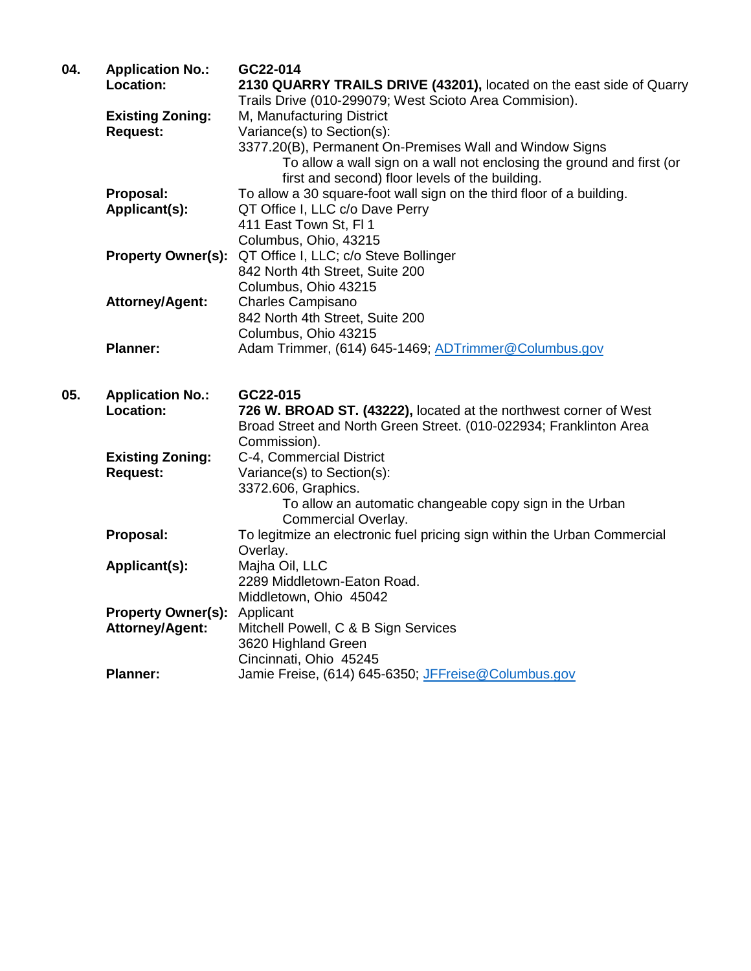| 04. | <b>Application No.:</b><br>Location: | GC22-014<br>2130 QUARRY TRAILS DRIVE (43201), located on the east side of Quarry<br>Trails Drive (010-299079; West Scioto Area Commision). |
|-----|--------------------------------------|--------------------------------------------------------------------------------------------------------------------------------------------|
|     | <b>Existing Zoning:</b>              | M, Manufacturing District                                                                                                                  |
|     | <b>Request:</b>                      | Variance(s) to Section(s):                                                                                                                 |
|     |                                      | 3377.20(B), Permanent On-Premises Wall and Window Signs                                                                                    |
|     |                                      | To allow a wall sign on a wall not enclosing the ground and first (or                                                                      |
|     |                                      | first and second) floor levels of the building.                                                                                            |
|     | Proposal:                            | To allow a 30 square-foot wall sign on the third floor of a building.                                                                      |
|     | Applicant(s):                        | QT Office I, LLC c/o Dave Perry                                                                                                            |
|     |                                      | 411 East Town St, FI 1                                                                                                                     |
|     |                                      | Columbus, Ohio, 43215                                                                                                                      |
|     | <b>Property Owner(s):</b>            | QT Office I, LLC; c/o Steve Bollinger                                                                                                      |
|     |                                      | 842 North 4th Street, Suite 200                                                                                                            |
|     |                                      | Columbus, Ohio 43215                                                                                                                       |
|     | <b>Attorney/Agent:</b>               | <b>Charles Campisano</b>                                                                                                                   |
|     |                                      | 842 North 4th Street, Suite 200<br>Columbus, Ohio 43215                                                                                    |
|     | <b>Planner:</b>                      | Adam Trimmer, (614) 645-1469; ADTrimmer@Columbus.gov                                                                                       |
|     |                                      |                                                                                                                                            |
|     |                                      |                                                                                                                                            |
| 05. | <b>Application No.:</b>              | GC22-015                                                                                                                                   |
|     | Location:                            | 726 W. BROAD ST. (43222), located at the northwest corner of West                                                                          |
|     |                                      | Broad Street and North Green Street. (010-022934; Franklinton Area                                                                         |
|     |                                      |                                                                                                                                            |
|     |                                      | Commission).                                                                                                                               |
|     | <b>Existing Zoning:</b>              | C-4, Commercial District                                                                                                                   |
|     | <b>Request:</b>                      | Variance(s) to Section(s):                                                                                                                 |
|     |                                      | 3372.606, Graphics.                                                                                                                        |
|     |                                      | To allow an automatic changeable copy sign in the Urban                                                                                    |
|     |                                      | Commercial Overlay.                                                                                                                        |
|     | Proposal:                            | To legitmize an electronic fuel pricing sign within the Urban Commercial                                                                   |
|     |                                      | Overlay.                                                                                                                                   |
|     | Applicant(s):                        | Majha Oil, LLC                                                                                                                             |
|     |                                      | 2289 Middletown-Eaton Road.                                                                                                                |
|     |                                      | Middletown, Ohio 45042                                                                                                                     |
|     | <b>Property Owner(s):</b>            | Applicant                                                                                                                                  |
|     | <b>Attorney/Agent:</b>               | Mitchell Powell, C & B Sign Services<br>3620 Highland Green                                                                                |
|     |                                      | Cincinnati, Ohio 45245                                                                                                                     |
|     | <b>Planner:</b>                      | Jamie Freise, (614) 645-6350; JFFreise@Columbus.gov                                                                                        |